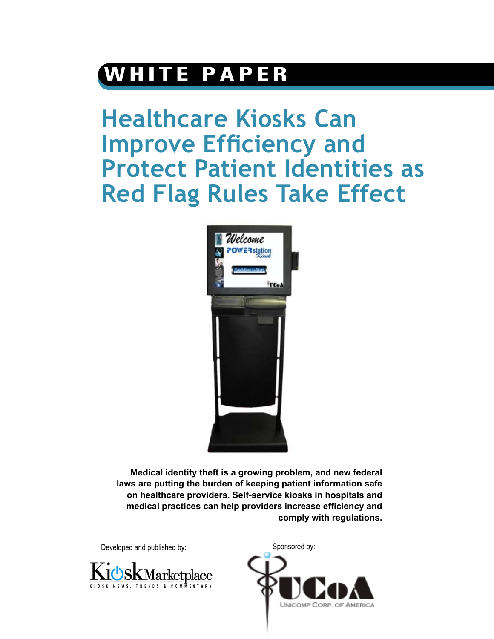## **WHITE PAPER**

**Healthcare Kiosks Can Improve Efficiency and Protect Patient Identities as Red Flag Rules Take Effect**



**Medical identity theft is a growing problem, and new federal laws are putting the burden of keeping patient information safe on healthcare providers. Self-service kiosks in hospitals and medical practices can help providers increase efficiency and comply with regulations.**

Developed and published by: Sponsored by:



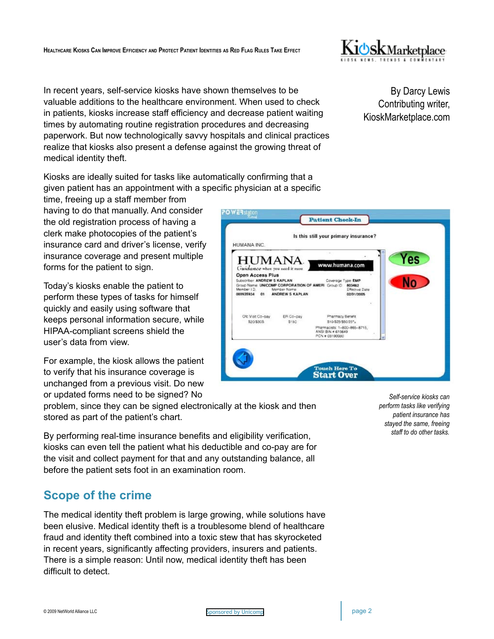

In recent years, self-service kiosks have shown themselves to be valuable additions to the healthcare environment. When used to check in patients, kiosks increase staff efficiency and decrease patient waiting times by automating routine registration procedures and decreasing paperwork. But now technologically savvy hospitals and clinical practices realize that kiosks also present a defense against the growing threat of medical identity theft.

Kiosks are ideally suited for tasks like automatically confirming that a given patient has an appointment with a specific physician at a specific

time, freeing up a staff member from having to do that manually. And consider the old registration process of having a clerk make photocopies of the patient's insurance card and driver's license, verify insurance coverage and present multiple forms for the patient to sign.

Today's kiosks enable the patient to perform these types of tasks for himself quickly and easily using software that keeps personal information secure, while HIPAA-compliant screens shield the user's data from view.

For example, the kiosk allows the patient to verify that his insurance coverage is unchanged from a previous visit. Do new or updated forms need to be signed? No

problem, since they can be signed electronically at the kiosk and then stored as part of the patient's chart.

By performing real-time insurance benefits and eligibility verification, kiosks can even tell the patient what his deductible and co-pay are for the visit and collect payment for that and any outstanding balance, all before the patient sets foot in an examination room.

## **Scope of the crime**

The medical identity theft problem is large growing, while solutions have been elusive. Medical identity theft is a troublesome blend of healthcare fraud and identity theft combined into a toxic stew that has skyrocketed in recent years, significantly affecting providers, insurers and patients. There is a simple reason: Until now, medical identity theft has been difficult to detect.

By Darcy Lewis Contributing writer, KioskMarketplace.com



*Self-service kiosks can perform tasks like verifying patient insurance has stayed the same, freeing staff to do other tasks.*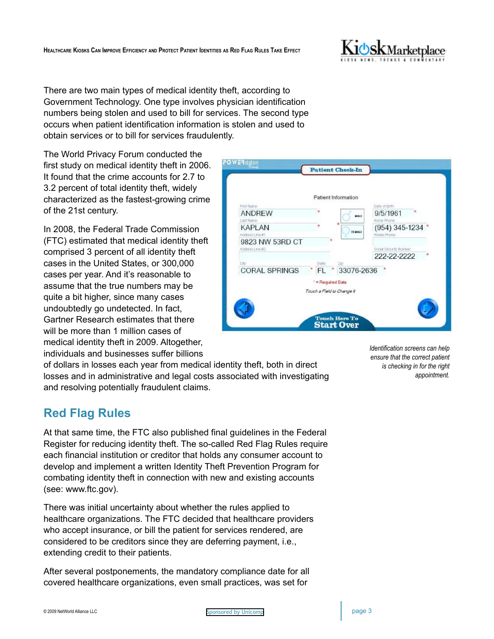

There are two main types of medical identity theft, according to Government Technology. One type involves physician identification numbers being stolen and used to bill for services. The second type occurs when patient identification information is stolen and used to obtain services or to bill for services fraudulently.

**DAWER** 

The World Privacy Forum conducted the first study on medical identity theft in 2006. It found that the crime accounts for 2.7 to 3.2 percent of total identity theft, widely characterized as the fastest-growing crime of the 21st century.

In 2008, the Federal Trade Commission (FTC) estimated that medical identity theft comprised 3 percent of all identity theft cases in the United States, or 300,000 cases per year. And it's reasonable to assume that the true numbers may be quite a bit higher, since many cases undoubtedly go undetected. In fact, Gartner Research estimates that there will be more than 1 million cases of medical identity theft in 2009. Altogether, individuals and businesses suffer billions

of dollars in losses each year from medical identity theft, both in direct losses and in administrative and legal costs associated with investigating and resolving potentially fraudulent claims.

## **Red Flag Rules**

At that same time, the FTC also published final guidelines in the Federal Register for reducing identity theft. The so-called Red Flag Rules require each financial institution or creditor that holds any consumer account to develop and implement a written Identity Theft Prevention Program for combating identity theft in connection with new and existing accounts (see: www.ftc.gov).

There was initial uncertainty about whether the rules applied to healthcare organizations. The FTC decided that healthcare providers who accept insurance, or bill the patient for services rendered, are considered to be creditors since they are deferring payment, i.e., extending credit to their patients.

After several postponements, the mandatory compliance date for all covered healthcare organizations, even small practices, was set for

| 9/5/1961<br>MALE.                         |
|-------------------------------------------|
|                                           |
| Honie Phone                               |
| (954) 345-1234<br>FEMALE<br>Mobile Phone: |
|                                           |
| Social Security Number                    |
| 222-22-2222                               |
|                                           |
| 33076-2636                                |
|                                           |
|                                           |
|                                           |

*Identification screens can help ensure that the correct patient is checking in for the right appointment.*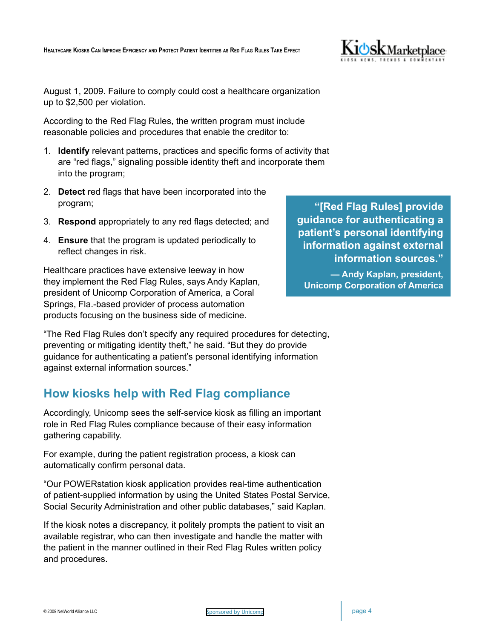

August 1, 2009. Failure to comply could cost a healthcare organization up to \$2,500 per violation.

According to the Red Flag Rules, the written program must include reasonable policies and procedures that enable the creditor to:

- 1. **Identify** relevant patterns, practices and specific forms of activity that are "red flags," signaling possible identity theft and incorporate them into the program;
- 2. **Detect** red flags that have been incorporated into the program;
- 3. **Respond** appropriately to any red flags detected; and
- 4. **Ensure** that the program is updated periodically to reflect changes in risk.

Healthcare practices have extensive leeway in how they implement the Red Flag Rules, says Andy Kaplan, president of Unicomp Corporation of America, a Coral Springs, Fla.-based provider of process automation products focusing on the business side of medicine.

"The Red Flag Rules don't specify any required procedures for detecting, preventing or mitigating identity theft," he said. "But they do provide guidance for authenticating a patient's personal identifying information against external information sources."

## **How kiosks help with Red Flag compliance**

Accordingly, Unicomp sees the self-service kiosk as filling an important role in Red Flag Rules compliance because of their easy information gathering capability.

For example, during the patient registration process, a kiosk can automatically confirm personal data.

"Our POWERstation kiosk application provides real-time authentication of patient-supplied information by using the United States Postal Service, Social Security Administration and other public databases," said Kaplan.

If the kiosk notes a discrepancy, it politely prompts the patient to visit an available registrar, who can then investigate and handle the matter with the patient in the manner outlined in their Red Flag Rules written policy and procedures.

**"[Red Flag Rules] provide guidance for authenticating a patient's personal identifying information against external information sources."** 

**— Andy Kaplan, president, Unicomp Corporation of America**